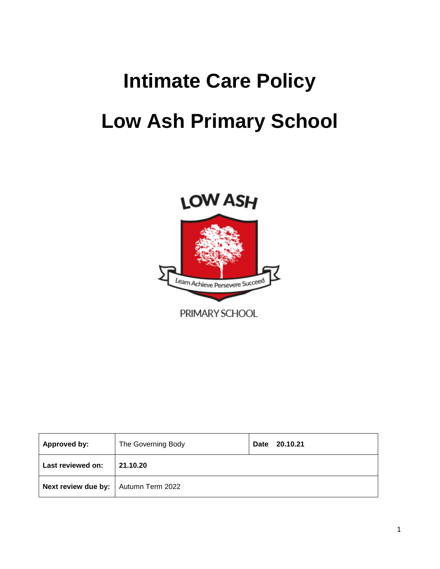# **Intimate Care Policy Low Ash Primary School**



| Approved by:                           | The Governing Body | 20.10.21<br>Date |
|----------------------------------------|--------------------|------------------|
| Last reviewed on:                      | 21.10.20           |                  |
| Next review due by:   Autumn Term 2022 |                    |                  |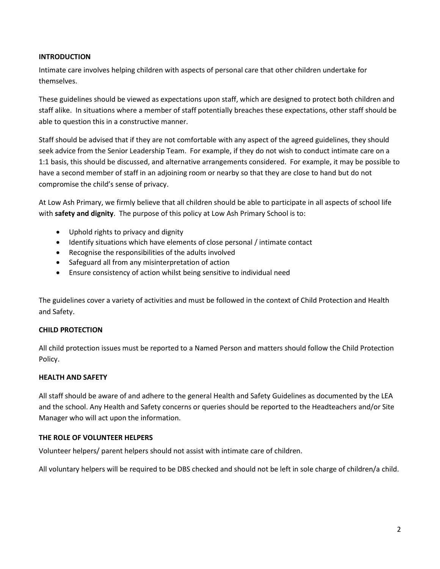#### **INTRODUCTION**

Intimate care involves helping children with aspects of personal care that other children undertake for themselves.

These guidelines should be viewed as expectations upon staff, which are designed to protect both children and staff alike. In situations where a member of staff potentially breaches these expectations, other staff should be able to question this in a constructive manner.

Staff should be advised that if they are not comfortable with any aspect of the agreed guidelines, they should seek advice from the Senior Leadership Team. For example, if they do not wish to conduct intimate care on a 1:1 basis, this should be discussed, and alternative arrangements considered. For example, it may be possible to have a second member of staff in an adjoining room or nearby so that they are close to hand but do not compromise the child's sense of privacy.

At Low Ash Primary, we firmly believe that all children should be able to participate in all aspects of school life with **safety and dignity**. The purpose of this policy at Low Ash Primary School is to:

- Uphold rights to privacy and dignity
- Identify situations which have elements of close personal / intimate contact
- Recognise the responsibilities of the adults involved
- Safeguard all from any misinterpretation of action
- Ensure consistency of action whilst being sensitive to individual need

The guidelines cover a variety of activities and must be followed in the context of Child Protection and Health and Safety.

#### **CHILD PROTECTION**

All child protection issues must be reported to a Named Person and matters should follow the Child Protection Policy.

#### **HEALTH AND SAFETY**

All staff should be aware of and adhere to the general Health and Safety Guidelines as documented by the LEA and the school. Any Health and Safety concerns or queries should be reported to the Headteachers and/or Site Manager who will act upon the information.

#### **THE ROLE OF VOLUNTEER HELPERS**

Volunteer helpers/ parent helpers should not assist with intimate care of children.

All voluntary helpers will be required to be DBS checked and should not be left in sole charge of children/a child.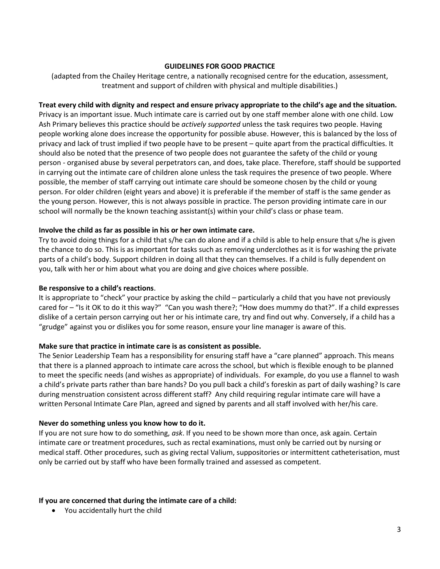#### **GUIDELINES FOR GOOD PRACTICE**

(adapted from the Chailey Heritage centre, a nationally recognised centre for the education, assessment, treatment and support of children with physical and multiple disabilities.)

#### **Treat every child with dignity and respect and ensure privacy appropriate to the child's age and the situation.**

Privacy is an important issue. Much intimate care is carried out by one staff member alone with one child. Low Ash Primary believes this practice should be *actively supported* unless the task requires two people. Having people working alone does increase the opportunity for possible abuse. However, this is balanced by the loss of privacy and lack of trust implied if two people have to be present – quite apart from the practical difficulties. It should also be noted that the presence of two people does not guarantee the safety of the child or young person - organised abuse by several perpetrators can, and does, take place. Therefore, staff should be supported in carrying out the intimate care of children alone unless the task requires the presence of two people. Where possible, the member of staff carrying out intimate care should be someone chosen by the child or young person. For older children (eight years and above) it is preferable if the member of staff is the same gender as the young person. However, this is not always possible in practice. The person providing intimate care in our school will normally be the known teaching assistant(s) within your child's class or phase team.

#### **Involve the child as far as possible in his or her own intimate care.**

Try to avoid doing things for a child that s/he can do alone and if a child is able to help ensure that s/he is given the chance to do so. This is as important for tasks such as removing underclothes as it is for washing the private parts of a child's body. Support children in doing all that they can themselves. If a child is fully dependent on you, talk with her or him about what you are doing and give choices where possible.

#### **Be responsive to a child's reactions**.

It is appropriate to "check" your practice by asking the child – particularly a child that you have not previously cared for – "Is it OK to do it this way?" "Can you wash there?; "How does mummy do that?". If a child expresses dislike of a certain person carrying out her or his intimate care, try and find out why. Conversely, if a child has a "grudge" against you or dislikes you for some reason, ensure your line manager is aware of this.

#### **Make sure that practice in intimate care is as consistent as possible.**

The Senior Leadership Team has a responsibility for ensuring staff have a "care planned" approach. This means that there is a planned approach to intimate care across the school, but which is flexible enough to be planned to meet the specific needs (and wishes as appropriate) of individuals. For example, do you use a flannel to wash a child's private parts rather than bare hands? Do you pull back a child's foreskin as part of daily washing? Is care during menstruation consistent across different staff? Any child requiring regular intimate care will have a written Personal Intimate Care Plan, agreed and signed by parents and all staff involved with her/his care.

#### **Never do something unless you know how to do it.**

If you are not sure how to do something, *ask*. If you need to be shown more than once, ask again. Certain intimate care or treatment procedures, such as rectal examinations, must only be carried out by nursing or medical staff. Other procedures, such as giving rectal Valium, suppositories or intermittent catheterisation, must only be carried out by staff who have been formally trained and assessed as competent.

#### **If you are concerned that during the intimate care of a child:**

• You accidentally hurt the child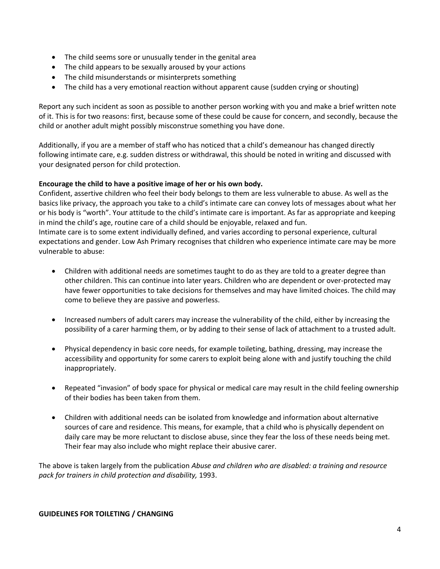- The child seems sore or unusually tender in the genital area
- The child appears to be sexually aroused by your actions
- The child misunderstands or misinterprets something
- The child has a very emotional reaction without apparent cause (sudden crying or shouting)

Report any such incident as soon as possible to another person working with you and make a brief written note of it. This is for two reasons: first, because some of these could be cause for concern, and secondly, because the child or another adult might possibly misconstrue something you have done.

Additionally, if you are a member of staff who has noticed that a child's demeanour has changed directly following intimate care, e.g. sudden distress or withdrawal, this should be noted in writing and discussed with your designated person for child protection.

#### **Encourage the child to have a positive image of her or his own body.**

Confident, assertive children who feel their body belongs to them are less vulnerable to abuse. As well as the basics like privacy, the approach you take to a child's intimate care can convey lots of messages about what her or his body is "worth". Your attitude to the child's intimate care is important. As far as appropriate and keeping in mind the child's age, routine care of a child should be enjoyable, relaxed and fun. Intimate care is to some extent individually defined, and varies according to personal experience, cultural expectations and gender. Low Ash Primary recognises that children who experience intimate care may be more

- Children with additional needs are sometimes taught to do as they are told to a greater degree than other children. This can continue into later years. Children who are dependent or over-protected may have fewer opportunities to take decisions for themselves and may have limited choices. The child may come to believe they are passive and powerless.
- Increased numbers of adult carers may increase the vulnerability of the child, either by increasing the possibility of a carer harming them, or by adding to their sense of lack of attachment to a trusted adult.
- Physical dependency in basic core needs, for example toileting, bathing, dressing, may increase the accessibility and opportunity for some carers to exploit being alone with and justify touching the child inappropriately.
- Repeated "invasion" of body space for physical or medical care may result in the child feeling ownership of their bodies has been taken from them.
- Children with additional needs can be isolated from knowledge and information about alternative sources of care and residence. This means, for example, that a child who is physically dependent on daily care may be more reluctant to disclose abuse, since they fear the loss of these needs being met. Their fear may also include who might replace their abusive carer.

The above is taken largely from the publication *Abuse and children who are disabled: a training and resource pack for trainers in child protection and disability,* 1993.

#### **GUIDELINES FOR TOILETING / CHANGING**

vulnerable to abuse: